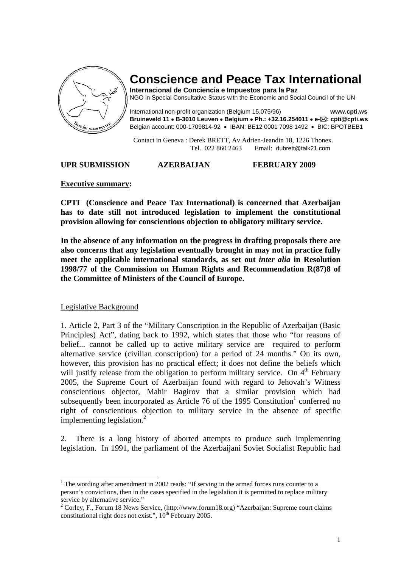

# **Conscience and Peace Tax International**

**Internacional de Conciencia e Impuestos para la Paz**  NGO in Special Consultative Status with the Economic and Social Council of the UN

International non-profit organization (Belgium 15.075/96) **www.cpti.ws Bruineveld 11** • **B-3010 Leuven** • **Belgium** • **Ph.: +32.16.254011** • **e- : cpti@cpti.ws**  Belgian account: 000-1709814-92 • IBAN: BE12 0001 7098 1492 • BIC: BPOTBEB1

 Contact in Geneva : Derek BRETT, Av.Adrien-Jeandin 18, 1226 Thonex. Tel. 022 860 2463 Email: dubrett@talk21.com

# **UPR SUBMISSION AZERBAIJAN FEBRUARY 2009**

### **Executive summary:**

**CPTI (Conscience and Peace Tax International) is concerned that Azerbaijan has to date still not introduced legislation to implement the constitutional provision allowing for conscientious objection to obligatory military service.** 

**In the absence of any information on the progress in drafting proposals there are also concerns that any legislation eventually brought in may not in practice fully meet the applicable international standards, as set out** *inter alia* **in Resolution 1998/77 of the Commission on Human Rights and Recommendation R(87)8 of the Committee of Ministers of the Council of Europe.** 

# Legislative Background

1. Article 2, Part 3 of the "Military Conscription in the Republic of Azerbaijan (Basic Principles) Act", dating back to 1992, which states that those who "for reasons of belief... cannot be called up to active military service are required to perform alternative service (civilian conscription) for a period of 24 months." On its own, however, this provision has no practical effect; it does not define the beliefs which will justify release from the obligation to perform military service. On  $4<sup>th</sup>$  February 2005, the Supreme Court of Azerbaijan found with regard to Jehovah's Witness conscientious objector, Mahir Bagirov that a similar provision which had subsequently been incorporated as Article  $76$  of the 1995 Constitution<sup>1</sup> conferred no right of conscientious objection to military service in the absence of specific implementing legislation.<sup>2</sup>

2. There is a long history of aborted attempts to produce such implementing legislation. In 1991, the parliament of the Azerbaijani Soviet Socialist Republic had

 $\overline{a}$  $1$  The wording after amendment in 2002 reads: "If serving in the armed forces runs counter to a person's convictions, then in the cases specified in the legislation it is permitted to replace military service by alternative service."

<sup>&</sup>lt;sup>2</sup> Corley, F., Forum 18 News Service, (http://www.forum18.org) "Azerbaijan: Supreme court claims constitutional right does not exist.",  $10^{th}$  February 2005.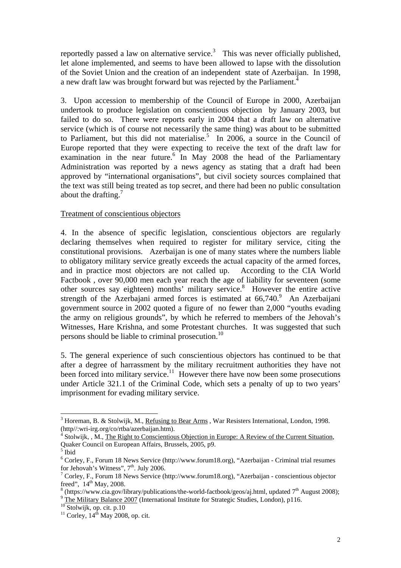reportedly passed a law on alternative service.<sup>3</sup> This was never officially published, let alone implemented, and seems to have been allowed to lapse with the dissolution of the Soviet Union and the creation of an independent state of Azerbaijan. In 1998, a new draft law was brought forward but was rejected by the Parliament.<sup>4</sup>

3. Upon accession to membership of the Council of Europe in 2000, Azerbaijan undertook to produce legislation on conscientious objection by January 2003, but failed to do so. There were reports early in 2004 that a draft law on alternative service (which is of course not necessarily the same thing) was about to be submitted to Parliament, but this did not materialise.<sup>5</sup> In 2006, a source in the Council of Europe reported that they were expecting to receive the text of the draft law for examination in the near future.<sup>6</sup> In May 2008 the head of the Parliamentary Administration was reported by a news agency as stating that a draft had been approved by "international organisations", but civil society sources complained that the text was still being treated as top secret, and there had been no public consultation about the drafting.<sup>7</sup>

# Treatment of conscientious objectors

4. In the absence of specific legislation, conscientious objectors are regularly declaring themselves when required to register for military service, citing the constitutional provisions. Azerbaijan is one of many states where the numbers liable to obligatory military service greatly exceeds the actual capacity of the armed forces, and in practice most objectors are not called up. According to the CIA World Factbook , over 90,000 men each year reach the age of liability for seventeen (some other sources say eighteen) months' military service.<sup>8</sup> However the entire active strength of the Azerbajani armed forces is estimated at  $66,740$ .<sup>9</sup> An Azerbaijani government source in 2002 quoted a figure of no fewer than 2,000 "youths evading the army on religious grounds", by which he referred to members of the Jehovah's Witnesses, Hare Krishna, and some Protestant churches. It was suggested that such persons should be liable to criminal prosecution.<sup>10</sup>

5. The general experience of such conscientious objectors has continued to be that after a degree of harrassment by the military recruitment authorities they have not been forced into military service.<sup>11</sup> However there have now been some prosecutions under Article 321.1 of the Criminal Code, which sets a penalty of up to two years' imprisonment for evading military service.

 $\overline{a}$ 

 $3$  Horeman, B. & Stolwijk, M., Refusing to Bear Arms, War Resisters International, London, 1998. (http//:wri-irg.org/co/rtba/azerbaijan.htm). 4

<sup>&</sup>lt;sup>4</sup> Stolwijk, , M., The Right to Conscientious Objection in Europe: A Review of the Current Situation, Quaker Council on European Affairs, Brussels, 2005, p9.

<sup>5</sup> Ibid

<sup>&</sup>lt;sup>6</sup> Corley, F., Forum 18 News Service (http://www.forum18.org), "Azerbaijan - Criminal trial resumes for Jehovah's Witness",  $7<sup>th</sup>$ . July 2006.

<sup>&</sup>lt;sup>7</sup> Corley, F., Forum 18 News Service (http://www.forum18.org), "Azerbaijan - conscientious objector freed",  $14<sup>th</sup>$  May, 2008.

<sup>&</sup>lt;sup>8</sup> (https://www.cia.gov/library/publications/the-world-factbook/geos/aj.html, updated 7<sup>th</sup> August 2008); <sup>9</sup> The Military Balance 2007 (International Institute for Strategic Studies, London), p116.<br><sup>10</sup> Stolwijk, op. ci <sup>9</sup> The Military Balance 2007 (International Institute for Strategic Studies, London), p116.

 $11$  Corley,  $14<sup>th</sup>$  May 2008, op. cit.